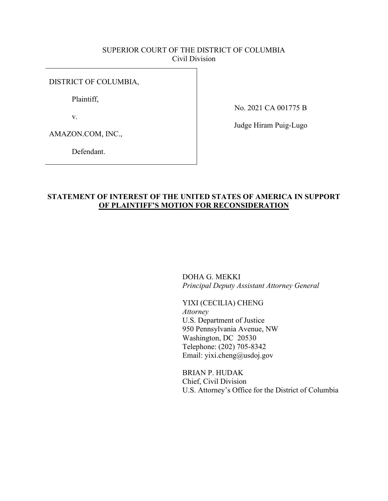## SUPERIOR COURT OF THE DISTRICT OF COLUMBIA Civil Division

### DISTRICT OF COLUMBIA,

Plaintiff,

v.

No. 2021 CA 001775 B

AMAZON.COM, INC.,

Defendant.

Judge Hiram Puig-Lugo

# **STATEMENT OF INTEREST OF THE UNITED STATES OF AMERICA IN SUPPORT OF PLAINTIFF'S MOTION FOR RECONSIDERATION**

DOHA G. MEKKI *Principal Deputy Assistant Attorney General* 

YIXI (CECILIA) CHENG *Attorney*  U.S. Department of Justice 950 Pennsylvania Avenue, NW Washington, DC 20530 Telephone: (202) 705-8342 Email: yixi.cheng@usdoj.gov

BRIAN P. HUDAK Chief, Civil Division U.S. Attorney's Office for the District of Columbia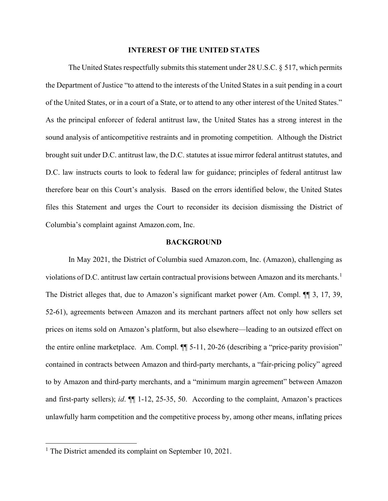### **INTEREST OF THE UNITED STATES**

The United States respectfully submits this statement under 28 U.S.C. § 517, which permits the Department of Justice "to attend to the interests of the United States in a suit pending in a court of the United States, or in a court of a State, or to attend to any other interest of the United States." As the principal enforcer of federal antitrust law, the United States has a strong interest in the sound analysis of anticompetitive restraints and in promoting competition. Although the District brought suit under D.C. antitrust law, the D.C. statutes at issue mirror federal antitrust statutes, and D.C. law instructs courts to look to federal law for guidance; principles of federal antitrust law therefore bear on this Court's analysis. Based on the errors identified below, the United States files this Statement and urges the Court to reconsider its decision dismissing the District of Columbia's complaint against Amazon.com, Inc.

### **BACKGROUND**

In May 2021, the District of Columbia sued Amazon.com, Inc. (Amazon), challenging as violations of D.C. antitrust law certain contractual provisions between Amazon and its merchants.<sup>[1](#page-1-0)</sup> The District alleges that, due to Amazon's significant market power (Am. Compl. ¶¶ 3, 17, 39, 52-61), agreements between Amazon and its merchant partners affect not only how sellers set prices on items sold on Amazon's platform, but also elsewhere—leading to an outsized effect on the entire online marketplace. Am. Compl. ¶¶ 5-11, 20-26 (describing a "price-parity provision" contained in contracts between Amazon and third-party merchants, a "fair-pricing policy" agreed to by Amazon and third-party merchants, and a "minimum margin agreement" between Amazon and first-party sellers); *id*. ¶¶ 1-12, 25-35, 50. According to the complaint, Amazon's practices unlawfully harm competition and the competitive process by, among other means, inflating prices

<span id="page-1-0"></span><sup>&</sup>lt;sup>1</sup> The District amended its complaint on September 10, 2021.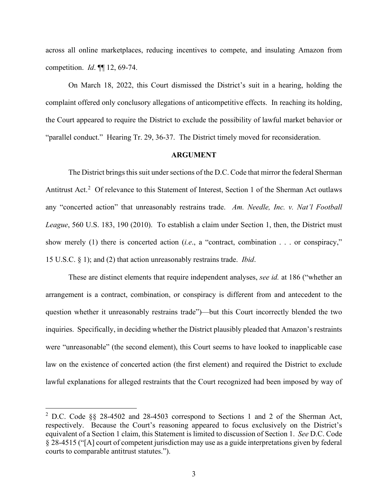across all online marketplaces, reducing incentives to compete, and insulating Amazon from competition. *Id*. ¶¶ 12, 69-74.

On March 18, 2022, this Court dismissed the District's suit in a hearing, holding the complaint offered only conclusory allegations of anticompetitive effects. In reaching its holding, the Court appeared to require the District to exclude the possibility of lawful market behavior or "parallel conduct." Hearing Tr. 29, 36-37. The District timely moved for reconsideration.

#### **ARGUMENT**

The District brings this suit under sections of the D.C. Code that mirror the federal Sherman Antitrust Act.<sup>[2](#page-2-0)</sup> Of relevance to this Statement of Interest, Section 1 of the Sherman Act outlaws any "concerted action" that unreasonably restrains trade. *Am. Needle, Inc. v. Nat'l Football League*, 560 U.S. 183, 190 (2010). To establish a claim under Section 1, then, the District must show merely (1) there is concerted action (*i.e*., a "contract, combination . . . or conspiracy," 15 U.S.C. § 1); and (2) that action unreasonably restrains trade. *Ibid*.

These are distinct elements that require independent analyses, *see id.* at 186 ("whether an arrangement is a contract, combination, or conspiracy is different from and antecedent to the question whether it unreasonably restrains trade")—but this Court incorrectly blended the two inquiries. Specifically, in deciding whether the District plausibly pleaded that Amazon's restraints were "unreasonable" (the second element), this Court seems to have looked to inapplicable case law on the existence of concerted action (the first element) and required the District to exclude lawful explanations for alleged restraints that the Court recognized had been imposed by way of

<span id="page-2-0"></span><sup>&</sup>lt;sup>2</sup> D.C. Code §§ 28-4502 and 28-4503 correspond to Sections 1 and 2 of the Sherman Act, respectively. Because the Court's reasoning appeared to focus exclusively on the District's equivalent of a Section 1 claim, this Statement is limited to discussion of Section 1. *See* D.C. Code § 28-4515 ("[A] court of competent jurisdiction may use as a guide interpretations given by federal courts to comparable antitrust statutes.").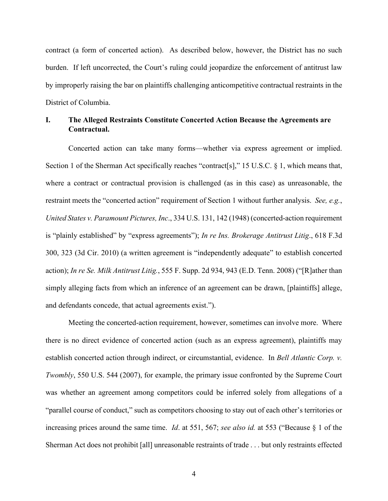contract (a form of concerted action). As described below, however, the District has no such burden. If left uncorrected, the Court's ruling could jeopardize the enforcement of antitrust law by improperly raising the bar on plaintiffs challenging anticompetitive contractual restraints in the District of Columbia.

# **I. The Alleged Restraints Constitute Concerted Action Because the Agreements are Contractual.**

Concerted action can take many forms—whether via express agreement or implied. Section 1 of the Sherman Act specifically reaches "contract[s]," 15 U.S.C. § 1, which means that, where a contract or contractual provision is challenged (as in this case) as unreasonable, the restraint meets the "concerted action" requirement of Section 1 without further analysis. *See, e.g.*, *United States v. Paramount Pictures, Inc*., 334 U.S. 131, 142 (1948) (concerted-action requirement is "plainly established" by "express agreements"); *In re Ins. Brokerage Antitrust Litig*., 618 F.3d 300, 323 (3d Cir. 2010) (a written agreement is "independently adequate" to establish concerted action); *In re Se. Milk Antitrust Litig.*, 555 F. Supp. 2d 934, 943 (E.D. Tenn. 2008) ("[R]ather than simply alleging facts from which an inference of an agreement can be drawn, [plaintiffs] allege, and defendants concede, that actual agreements exist.").

Meeting the concerted-action requirement, however, sometimes can involve more. Where there is no direct evidence of concerted action (such as an express agreement), plaintiffs may establish concerted action through indirect, or circumstantial, evidence. In *Bell Atlantic Corp. v. Twombly*, 550 U.S. 544 (2007), for example, the primary issue confronted by the Supreme Court was whether an agreement among competitors could be inferred solely from allegations of a "parallel course of conduct," such as competitors choosing to stay out of each other's territories or increasing prices around the same time. *Id*. at 551, 567; *see also id.* at 553 ("Because § 1 of the Sherman Act does not prohibit [all] unreasonable restraints of trade . . . but only restraints effected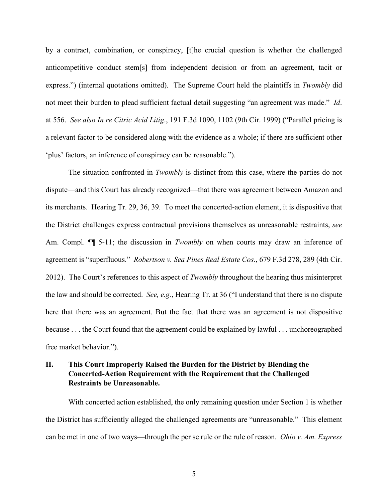by a contract, combination, or conspiracy, [t]he crucial question is whether the challenged anticompetitive conduct stem[s] from independent decision or from an agreement, tacit or express.") (internal quotations omitted). The Supreme Court held the plaintiffs in *Twombly* did not meet their burden to plead sufficient factual detail suggesting "an agreement was made." *Id*. at 556. *See also In re Citric Acid Litig*., 191 F.3d 1090, 1102 (9th Cir. 1999) ("Parallel pricing is a relevant factor to be considered along with the evidence as a whole; if there are sufficient other 'plus' factors, an inference of conspiracy can be reasonable.").

The situation confronted in *Twombly* is distinct from this case, where the parties do not dispute—and this Court has already recognized—that there was agreement between Amazon and its merchants. Hearing Tr. 29, 36, 39. To meet the concerted-action element, it is dispositive that the District challenges express contractual provisions themselves as unreasonable restraints, *see*  Am. Compl. ¶¶ 5-11; the discussion in *Twombly* on when courts may draw an inference of agreement is "superfluous." *Robertson v. Sea Pines Real Estate Cos*., 679 F.3d 278, 289 (4th Cir. 2012). The Court's references to this aspect of *Twombly* throughout the hearing thus misinterpret the law and should be corrected. *See, e.g.*, Hearing Tr. at 36 ("I understand that there is no dispute here that there was an agreement. But the fact that there was an agreement is not dispositive because . . . the Court found that the agreement could be explained by lawful . . . unchoreographed free market behavior.").

# **II. This Court Improperly Raised the Burden for the District by Blending the Concerted-Action Requirement with the Requirement that the Challenged Restraints be Unreasonable.**

With concerted action established, the only remaining question under Section 1 is whether the District has sufficiently alleged the challenged agreements are "unreasonable." This element can be met in one of two ways—through the per se rule or the rule of reason. *Ohio v. Am. Express*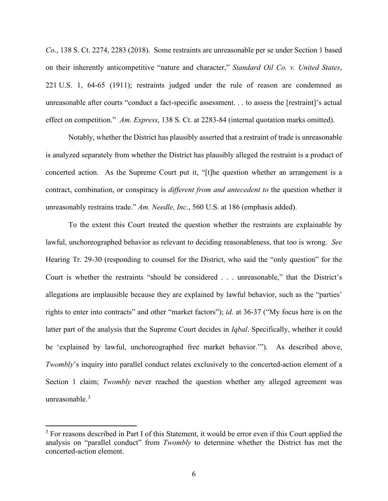*Co*., 138 S. Ct. 2274, 2283 (2018). Some restraints are unreasonable per se under Section 1 based on their inherently anticompetitive "nature and character," *Standard Oil Co. v. United States*, 221 U.S. 1, 64-65 (1911); restraints judged under the rule of reason are condemned as unreasonable after courts "conduct a fact-specific assessment. . . to assess the [restraint]'s actual effect on competition." *Am. Express*, 138 S. Ct. at 2283-84 (internal quotation marks omitted).

Notably, whether the District has plausibly asserted that a restraint of trade is unreasonable is analyzed separately from whether the District has plausibly alleged the restraint is a product of concerted action. As the Supreme Court put it, "[t]he question whether an arrangement is a contract, combination, or conspiracy is *different from and antecedent to* the question whether it unreasonably restrains trade." *Am. Needle, Inc*., 560 U.S. at 186 (emphasis added).

To the extent this Court treated the question whether the restraints are explainable by lawful, unchoreographed behavior as relevant to deciding reasonableness, that too is wrong.*See*  Hearing Tr. 29-30 (responding to counsel for the District, who said the "only question" for the Court is whether the restraints "should be considered . . . unreasonable," that the District's allegations are implausible because they are explained by lawful behavior, such as the "parties' rights to enter into contracts" and other "market factors"); *id*. at 36-37 ("My focus here is on the latter part of the analysis that the Supreme Court decides in *Iqbal*. Specifically, whether it could be 'explained by lawful, unchoreographed free market behavior.'"). As described above, *Twombly*'s inquiry into parallel conduct relates exclusively to the concerted-action element of a Section 1 claim; *Twombly* never reached the question whether any alleged agreement was unreasonable. $3$ 

<span id="page-5-0"></span><sup>&</sup>lt;sup>3</sup> For reasons described in Part I of this Statement, it would be error even if this Court applied the analysis on "parallel conduct" from *Twombly* to determine whether the District has met the concerted-action element.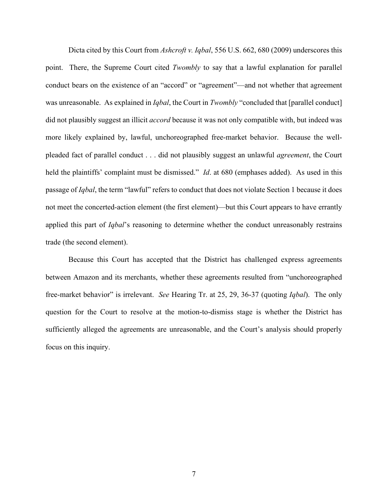Dicta cited by this Court from *Ashcroft v. Iqbal*, 556 U.S. 662, 680 (2009) underscores this point. There, the Supreme Court cited *Twombly* to say that a lawful explanation for parallel conduct bears on the existence of an "accord" or "agreement"—and not whether that agreement was unreasonable. As explained in *Iqbal*, the Court in *Twombly* "concluded that [parallel conduct] did not plausibly suggest an illicit *accord* because it was not only compatible with, but indeed was more likely explained by, lawful, unchoreographed free-market behavior. Because the wellpleaded fact of parallel conduct . . . did not plausibly suggest an unlawful *agreement*, the Court held the plaintiffs' complaint must be dismissed." *Id*. at 680 (emphases added). As used in this passage of *Iqbal*, the term "lawful" refers to conduct that does not violate Section 1 because it does not meet the concerted-action element (the first element)—but this Court appears to have errantly applied this part of *Iqbal*'s reasoning to determine whether the conduct unreasonably restrains trade (the second element).

Because this Court has accepted that the District has challenged express agreements between Amazon and its merchants, whether these agreements resulted from "unchoreographed free-market behavior" is irrelevant. *See* Hearing Tr. at 25, 29, 36-37 (quoting *Iqbal*). The only question for the Court to resolve at the motion-to-dismiss stage is whether the District has sufficiently alleged the agreements are unreasonable, and the Court's analysis should properly focus on this inquiry.